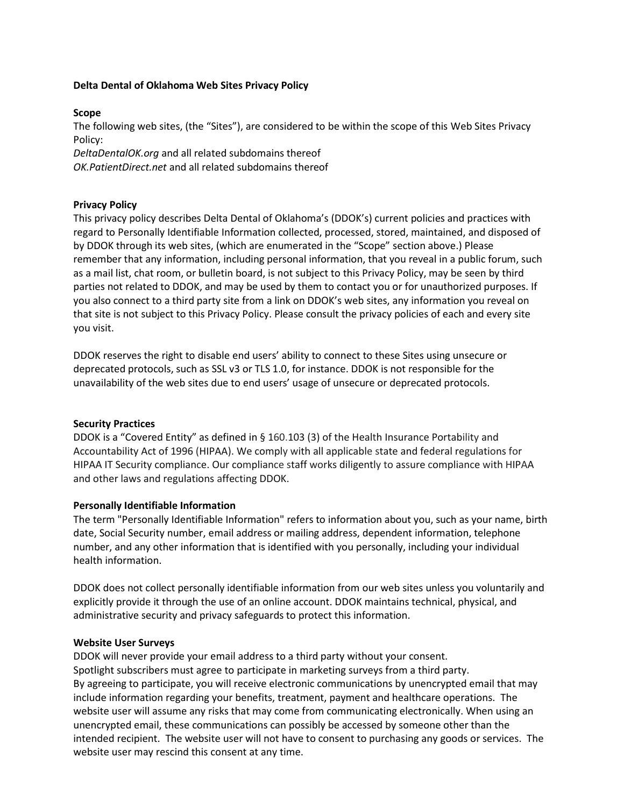# **Delta Dental of Oklahoma Web Sites Privacy Policy**

## **Scope**

The following web sites, (the "Sites"), are considered to be within the scope of this Web Sites Privacy Policy:

*DeltaDentalOK.org* and all related subdomains thereof

*OK.PatientDirect.net* and all related subdomains thereof

## **Privacy Policy**

This privacy policy describes Delta Dental of Oklahoma's (DDOK's) current policies and practices with regard to Personally Identifiable Information collected, processed, stored, maintained, and disposed of by DDOK through its web sites, (which are enumerated in the "Scope" section above.) Please remember that any information, including personal information, that you reveal in a public forum, such as a mail list, chat room, or bulletin board, is not subject to this Privacy Policy, may be seen by third parties not related to DDOK, and may be used by them to contact you or for unauthorized purposes. If you also connect to a third party site from a link on DDOK's web sites, any information you reveal on that site is not subject to this Privacy Policy. Please consult the privacy policies of each and every site you visit.

DDOK reserves the right to disable end users' ability to connect to these Sites using unsecure or deprecated protocols, such as SSL v3 or TLS 1.0, for instance. DDOK is not responsible for the unavailability of the web sites due to end users' usage of unsecure or deprecated protocols.

### **Security Practices**

DDOK is a "Covered Entity" as defined in § 160.103 (3) of the Health Insurance Portability and Accountability Act of 1996 (HIPAA). We comply with all applicable state and federal regulations for HIPAA IT Security compliance. Our compliance staff works diligently to assure compliance with HIPAA and other laws and regulations affecting DDOK.

### **Personally Identifiable Information**

The term "Personally Identifiable Information" refers to information about you, such as your name, birth date, Social Security number, email address or mailing address, dependent information, telephone number, and any other information that is identified with you personally, including your individual health information.

DDOK does not collect personally identifiable information from our web sites unless you voluntarily and explicitly provide it through the use of an online account. DDOK maintains technical, physical, and administrative security and privacy safeguards to protect this information.

### **Website User Surveys**

DDOK will never provide your email address to a third party without your consent. Spotlight subscribers must agree to participate in marketing surveys from a third party. By agreeing to participate, you will receive electronic communications by unencrypted email that may include information regarding your benefits, treatment, payment and healthcare operations. The website user will assume any risks that may come from communicating electronically. When using an unencrypted email, these communications can possibly be accessed by someone other than the intended recipient. The website user will not have to consent to purchasing any goods or services. The website user may rescind this consent at any time.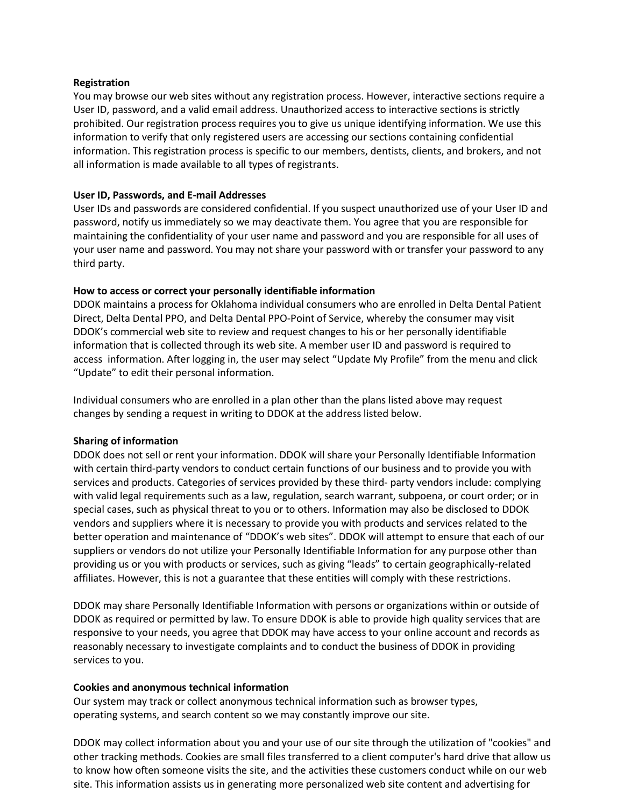## **Registration**

You may browse our web sites without any registration process. However, interactive sections require a User ID, password, and a valid email address. Unauthorized access to interactive sections is strictly prohibited. Our registration process requires you to give us unique identifying information. We use this information to verify that only registered users are accessing our sections containing confidential information. This registration process is specific to our members, dentists, clients, and brokers, and not all information is made available to all types of registrants.

## **User ID, Passwords, and E-mail Addresses**

User IDs and passwords are considered confidential. If you suspect unauthorized use of your User ID and password, notify us immediately so we may deactivate them. You agree that you are responsible for maintaining the confidentiality of your user name and password and you are responsible for all uses of your user name and password. You may not share your password with or transfer your password to any third party.

# **How to access or correct your personally identifiable information**

DDOK maintains a process for Oklahoma individual consumers who are enrolled in Delta Dental Patient Direct, Delta Dental PPO, and Delta Dental PPO-Point of Service, whereby the consumer may visit DDOK's commercial web site to review and request changes to his or her personally identifiable information that is collected through its web site. A member user ID and password is required to access information. After logging in, the user may select "Update My Profile" from the menu and click "Update" to edit their personal information.

Individual consumers who are enrolled in a plan other than the plans listed above may request changes by sending a request in writing to DDOK at the address listed below.

# **Sharing of information**

DDOK does not sell or rent your information. DDOK will share your Personally Identifiable Information with certain third-party vendors to conduct certain functions of our business and to provide you with services and products. Categories of services provided by these third- party vendors include: complying with valid legal requirements such as a law, regulation, search warrant, subpoena, or court order; or in special cases, such as physical threat to you or to others. Information may also be disclosed to DDOK vendors and suppliers where it is necessary to provide you with products and services related to the better operation and maintenance of "DDOK's web sites". DDOK will attempt to ensure that each of our suppliers or vendors do not utilize your Personally Identifiable Information for any purpose other than providing us or you with products or services, such as giving "leads" to certain geographically-related affiliates. However, this is not a guarantee that these entities will comply with these restrictions.

DDOK may share Personally Identifiable Information with persons or organizations within or outside of DDOK as required or permitted by law. To ensure DDOK is able to provide high quality services that are responsive to your needs, you agree that DDOK may have access to your online account and records as reasonably necessary to investigate complaints and to conduct the business of DDOK in providing services to you.

### **Cookies and anonymous technical information**

Our system may track or collect anonymous technical information such as browser types, operating systems, and search content so we may constantly improve our site.

DDOK may collect information about you and your use of our site through the utilization of "cookies" and other tracking methods. Cookies are small files transferred to a client computer's hard drive that allow us to know how often someone visits the site, and the activities these customers conduct while on our web site. This information assists us in generating more personalized web site content and advertising for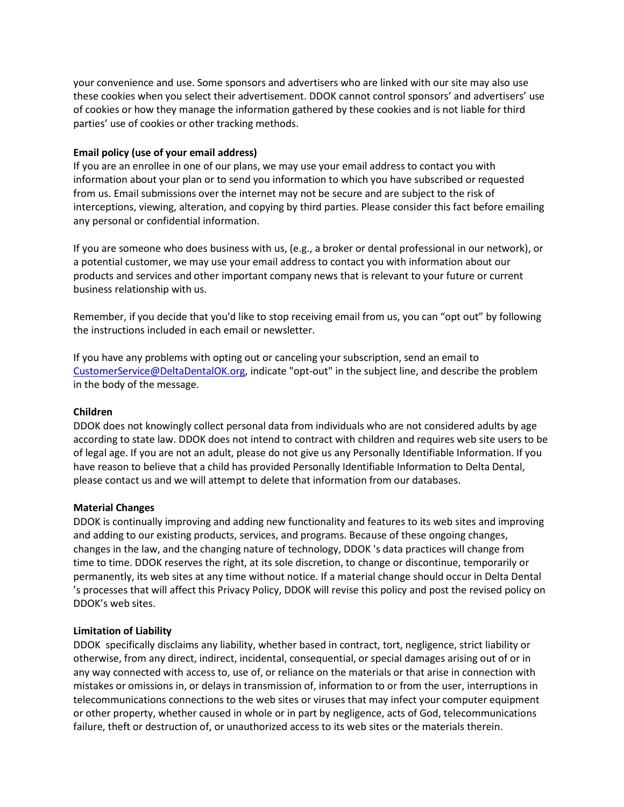your convenience and use. Some sponsors and advertisers who are linked with our site may also use these cookies when you select their advertisement. DDOK cannot control sponsors' and advertisers' use of cookies or how they manage the information gathered by these cookies and is not liable for third parties' use of cookies or other tracking methods.

## **Email policy (use of your email address)**

If you are an enrollee in one of our plans, we may use your email address to contact you with information about your plan or to send you information to which you have subscribed or requested from us. Email submissions over the internet may not be secure and are subject to the risk of interceptions, viewing, alteration, and copying by third parties. Please consider this fact before emailing any personal or confidential information.

If you are someone who does business with us, (e.g., a broker or dental professional in our network), or a potential customer, we may use your email address to contact you with information about our products and services and other important company news that is relevant to your future or current business relationship with us.

Remember, if you decide that you'd like to stop receiving email from us, you can "opt out" by following the instructions included in each email or newsletter.

If you have any problems with opting out or canceling your subscription, send an email t[o](mailto:%20CustomerService@DeltaDentalOK.or) [CustomerService@DeltaDentalOK.org,](mailto:%20CustomerService@DeltaDentalOK.or) indicate "opt-out" in the subject line, and describe the problem in the body of the message.

# **Children**

DDOK does not knowingly collect personal data from individuals who are not considered adults by age according to state law. DDOK does not intend to contract with children and requires web site users to be of legal age. If you are not an adult, please do not give us any Personally Identifiable Information. If you have reason to believe that a child has provided Personally Identifiable Information to Delta Dental, please contact us and we will attempt to delete that information from our databases.

### **Material Changes**

DDOK is continually improving and adding new functionality and features to its web sites and improving and adding to our existing products, services, and programs. Because of these ongoing changes, changes in the law, and the changing nature of technology, DDOK 's data practices will change from time to time. DDOK reserves the right, at its sole discretion, to change or discontinue, temporarily or permanently, its web sites at any time without notice. If a material change should occur in Delta Dental 's processes that will affect this Privacy Policy, DDOK will revise this policy and post the revised policy on DDOK's web sites.

### **Limitation of Liability**

DDOK specifically disclaims any liability, whether based in contract, tort, negligence, strict liability or otherwise, from any direct, indirect, incidental, consequential, or special damages arising out of or in any way connected with access to, use of, or reliance on the materials or that arise in connection with mistakes or omissions in, or delays in transmission of, information to or from the user, interruptions in telecommunications connections to the web sites or viruses that may infect your computer equipment or other property, whether caused in whole or in part by negligence, acts of God, telecommunications failure, theft or destruction of, or unauthorized access to its web sites or the materials therein.